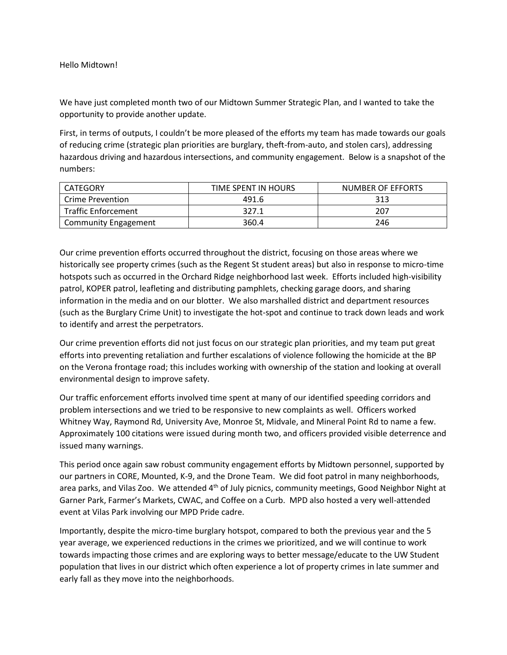We have just completed month two of our Midtown Summer Strategic Plan, and I wanted to take the opportunity to provide another update.

First, in terms of outputs, I couldn't be more pleased of the efforts my team has made towards our goals of reducing crime (strategic plan priorities are burglary, theft-from-auto, and stolen cars), addressing hazardous driving and hazardous intersections, and community engagement. Below is a snapshot of the numbers:

| CATEGORY                    | TIME SPENT IN HOURS | NUMBER OF EFFORTS |
|-----------------------------|---------------------|-------------------|
| l Crime Prevention          | 491.6               | 313               |
| Traffic Enforcement         | 327.1               | 207               |
| <b>Community Engagement</b> | 360.4               | 246               |

Our crime prevention efforts occurred throughout the district, focusing on those areas where we historically see property crimes (such as the Regent St student areas) but also in response to micro-time hotspots such as occurred in the Orchard Ridge neighborhood last week. Efforts included high-visibility patrol, KOPER patrol, leafleting and distributing pamphlets, checking garage doors, and sharing information in the media and on our blotter. We also marshalled district and department resources (such as the Burglary Crime Unit) to investigate the hot-spot and continue to track down leads and work to identify and arrest the perpetrators.

Our crime prevention efforts did not just focus on our strategic plan priorities, and my team put great efforts into preventing retaliation and further escalations of violence following the homicide at the BP on the Verona frontage road; this includes working with ownership of the station and looking at overall environmental design to improve safety.

Our traffic enforcement efforts involved time spent at many of our identified speeding corridors and problem intersections and we tried to be responsive to new complaints as well. Officers worked Whitney Way, Raymond Rd, University Ave, Monroe St, Midvale, and Mineral Point Rd to name a few. Approximately 100 citations were issued during month two, and officers provided visible deterrence and issued many warnings.

This period once again saw robust community engagement efforts by Midtown personnel, supported by our partners in CORE, Mounted, K-9, and the Drone Team. We did foot patrol in many neighborhoods, area parks, and Vilas Zoo. We attended  $4<sup>th</sup>$  of July picnics, community meetings, Good Neighbor Night at Garner Park, Farmer's Markets, CWAC, and Coffee on a Curb. MPD also hosted a very well-attended event at Vilas Park involving our MPD Pride cadre.

Importantly, despite the micro-time burglary hotspot, compared to both the previous year and the 5 year average, we experienced reductions in the crimes we prioritized, and we will continue to work towards impacting those crimes and are exploring ways to better message/educate to the UW Student population that lives in our district which often experience a lot of property crimes in late summer and early fall as they move into the neighborhoods.